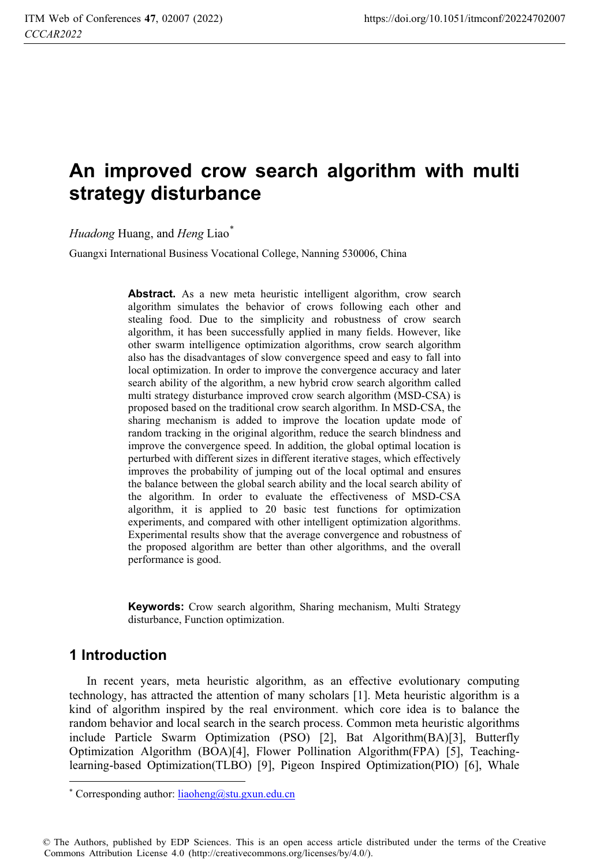# **An improved crow search algorithm with multi strategy disturbance**

*Huadong* Huang, and *Heng* Liao\*

Guangxi International Business Vocational College, Nanning 530006, China

Abstract. As a new meta heuristic intelligent algorithm, crow search algorithm simulates the behavior of crows following each other and stealing food. Due to the simplicity and robustness of crow search algorithm, it has been successfully applied in many fields. However, like other swarm intelligence optimization algorithms, crow search algorithm also has the disadvantages of slow convergence speed and easy to fall into local optimization. In order to improve the convergence accuracy and later search ability of the algorithm, a new hybrid crow search algorithm called multi strategy disturbance improved crow search algorithm (MSD-CSA) is proposed based on the traditional crow search algorithm. In MSD-CSA, the sharing mechanism is added to improve the location update mode of random tracking in the original algorithm, reduce the search blindness and improve the convergence speed. In addition, the global optimal location is perturbed with different sizes in different iterative stages, which effectively improves the probability of jumping out of the local optimal and ensures the balance between the global search ability and the local search ability of the algorithm. In order to evaluate the effectiveness of MSD-CSA algorithm, it is applied to 20 basic test functions for optimization experiments, and compared with other intelligent optimization algorithms. Experimental results show that the average convergence and robustness of the proposed algorithm are better than other algorithms, and the overall performance is good.

**Keywords:** Crow search algorithm, Sharing mechanism, Multi Strategy disturbance, Function optimization.

### **1 Introduction**

 $\overline{a}$ 

In recent years, meta heuristic algorithm, as an effective evolutionary computing technology, has attracted the attention of many scholars [1]. Meta heuristic algorithm is a kind of algorithm inspired by the real environment. which core idea is to balance the random behavior and local search in the search process. Common meta heuristic algorithms include Particle Swarm Optimization (PSO) [2], Bat Algorithm(BA)[3], Butterfly Optimization Algorithm (BOA)[4], Flower Pollination Algorithm(FPA) [5], Teachinglearning-based Optimization(TLBO) [9], Pigeon Inspired Optimization(PIO) [6], Whale

© The Authors, published by EDP Sciences. This is an open access article distributed under the terms of the Creative Commons Attribution License 4.0 (http://creativecommons.org/licenses/by/4.0/).

<sup>\*</sup> Corresponding author: liaoheng@stu.gxun.edu.cn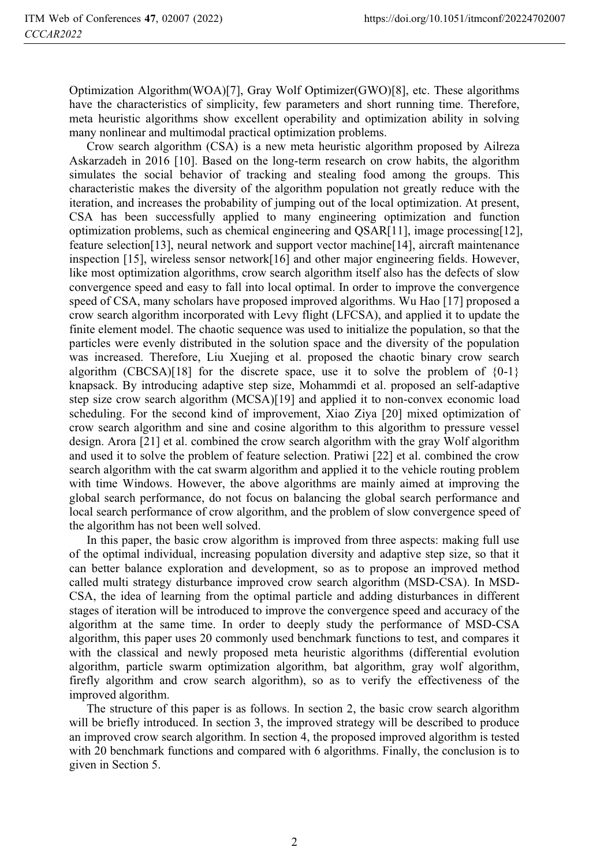Optimization Algorithm(WOA)[7], Gray Wolf Optimizer(GWO)[8], etc. These algorithms have the characteristics of simplicity, few parameters and short running time. Therefore, meta heuristic algorithms show excellent operability and optimization ability in solving many nonlinear and multimodal practical optimization problems.

Crow search algorithm (CSA) is a new meta heuristic algorithm proposed by Ailreza Askarzadeh in 2016 [10]. Based on the long-term research on crow habits, the algorithm simulates the social behavior of tracking and stealing food among the groups. This characteristic makes the diversity of the algorithm population not greatly reduce with the iteration, and increases the probability of jumping out of the local optimization. At present, CSA has been successfully applied to many engineering optimization and function optimization problems, such as chemical engineering and QSAR[11], image processing[12], feature selection[13], neural network and support vector machine[14], aircraft maintenance inspection [15], wireless sensor network[16] and other major engineering fields. However, like most optimization algorithms, crow search algorithm itself also has the defects of slow convergence speed and easy to fall into local optimal. In order to improve the convergence speed of CSA, many scholars have proposed improved algorithms. Wu Hao [17] proposed a crow search algorithm incorporated with Levy flight (LFCSA), and applied it to update the finite element model. The chaotic sequence was used to initialize the population, so that the particles were evenly distributed in the solution space and the diversity of the population was increased. Therefore, Liu Xuejing et al. proposed the chaotic binary crow search algorithm (CBCSA)[18] for the discrete space, use it to solve the problem of  ${0-1}$ } knapsack. By introducing adaptive step size, Mohammdi et al. proposed an self-adaptive step size crow search algorithm (MCSA)[19] and applied it to non-convex economic load scheduling. For the second kind of improvement, Xiao Ziya [20] mixed optimization of crow search algorithm and sine and cosine algorithm to this algorithm to pressure vessel design. Arora [21] et al. combined the crow search algorithm with the gray Wolf algorithm and used it to solve the problem of feature selection. Pratiwi [22] et al. combined the crow search algorithm with the cat swarm algorithm and applied it to the vehicle routing problem with time Windows. However, the above algorithms are mainly aimed at improving the global search performance, do not focus on balancing the global search performance and local search performance of crow algorithm, and the problem of slow convergence speed of the algorithm has not been well solved.

In this paper, the basic crow algorithm is improved from three aspects: making full use of the optimal individual, increasing population diversity and adaptive step size, so that it can better balance exploration and development, so as to propose an improved method called multi strategy disturbance improved crow search algorithm (MSD-CSA). In MSD-CSA, the idea of learning from the optimal particle and adding disturbances in different stages of iteration will be introduced to improve the convergence speed and accuracy of the algorithm at the same time. In order to deeply study the performance of MSD-CSA algorithm, this paper uses 20 commonly used benchmark functions to test, and compares it with the classical and newly proposed meta heuristic algorithms (differential evolution algorithm, particle swarm optimization algorithm, bat algorithm, gray wolf algorithm, firefly algorithm and crow search algorithm), so as to verify the effectiveness of the improved algorithm.

The structure of this paper is as follows. In section 2, the basic crow search algorithm will be briefly introduced. In section 3, the improved strategy will be described to produce an improved crow search algorithm. In section 4, the proposed improved algorithm is tested with 20 benchmark functions and compared with 6 algorithms. Finally, the conclusion is to given in Section 5.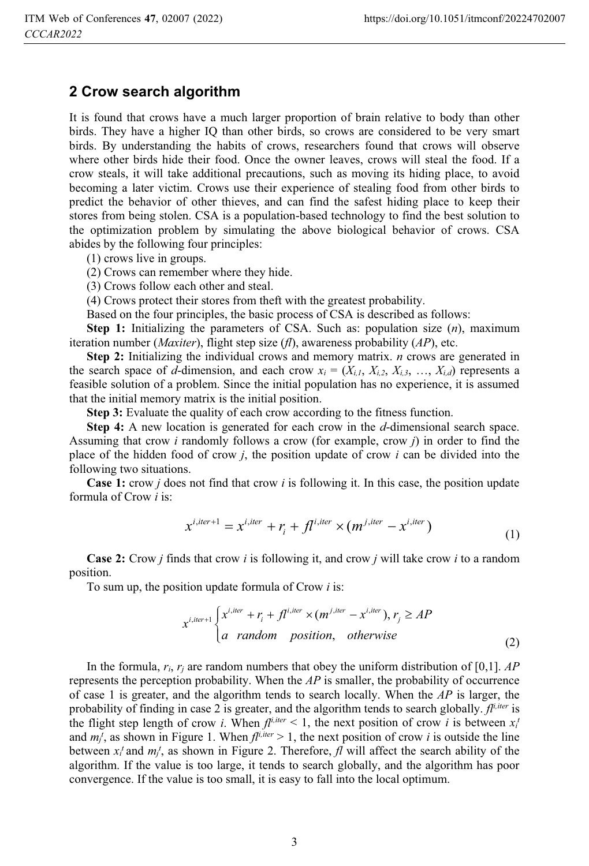#### **2 Crow search algorithm**

It is found that crows have a much larger proportion of brain relative to body than other birds. They have a higher IQ than other birds, so crows are considered to be very smart birds. By understanding the habits of crows, researchers found that crows will observe where other birds hide their food. Once the owner leaves, crows will steal the food. If a crow steals, it will take additional precautions, such as moving its hiding place, to avoid becoming a later victim. Crows use their experience of stealing food from other birds to predict the behavior of other thieves, and can find the safest hiding place to keep their stores from being stolen. CSA is a population-based technology to find the best solution to the optimization problem by simulating the above biological behavior of crows. CSA abides by the following four principles:

(1) crows live in groups.

(2) Crows can remember where they hide.

(3) Crows follow each other and steal.

(4) Crows protect their stores from theft with the greatest probability.

Based on the four principles, the basic process of CSA is described as follows:

**Step 1:** Initializing the parameters of CSA. Such as: population size (*n*), maximum iteration number (*Maxiter*), flight step size (*fl*), awareness probability (*AP*), etc.

**Step 2:** Initializing the individual crows and memory matrix. *n* crows are generated in the search space of *d*-dimension, and each crow  $x_i = (X_{i,j}, X_{i,2}, X_{i,3}, \ldots, X_{i,d})$  represents a feasible solution of a problem. Since the initial population has no experience, it is assumed that the initial memory matrix is the initial position.

**Step 3:** Evaluate the quality of each crow according to the fitness function.

**Step 4:** A new location is generated for each crow in the *d*-dimensional search space. Assuming that crow *i* randomly follows a crow (for example, crow *j*) in order to find the place of the hidden food of crow *j*, the position update of crow *i* can be divided into the following two situations.

**Case 1:** crow *j* does not find that crow *i* is following it. In this case, the position update formula of Crow *i* is:

$$
x^{i,iter+1} = x^{i,iter} + r_i + fl^{i,iter} \times (m^{j,iter} - x^{i,iter})
$$
\n(1)

**Case 2:** Crow *j* finds that crow *i* is following it, and crow *j* will take crow *i* to a random position.

To sum up, the position update formula of Crow *i* is:

$$
x^{i,iter+1} \begin{cases} x^{i,iter} + r_i + fl^{i,iter} \times (m^{j,iter} - x^{i,iter}), r_j \ge AP \\ a \quad random \quad position, \quad otherwise \end{cases}
$$
 (2)

In the formula, *ri*, *rj* are random numbers that obey the uniform distribution of [0,1]. *AP* represents the perception probability. When the *AP* is smaller, the probability of occurrence of case 1 is greater, and the algorithm tends to search locally. When the *AP* is larger, the probability of finding in case 2 is greater, and the algorithm tends to search globally.  $f<sup>i,iter</sup>$  is the flight step length of crow *i*. When  $f^{j,iter} < 1$ , the next position of crow *i* is between  $x_i^T$ and  $m_j^t$ , as shown in Figure 1. When  $f^{t\mu^t} > 1$ , the next position of crow *i* is outside the line between  $x_i^t$  and  $m_j^t$ , as shown in Figure 2. Therefore,  $f_l$  will affect the search ability of the algorithm. If the value is too large, it tends to search globally, and the algorithm has poor convergence. If the value is too small, it is easy to fall into the local optimum.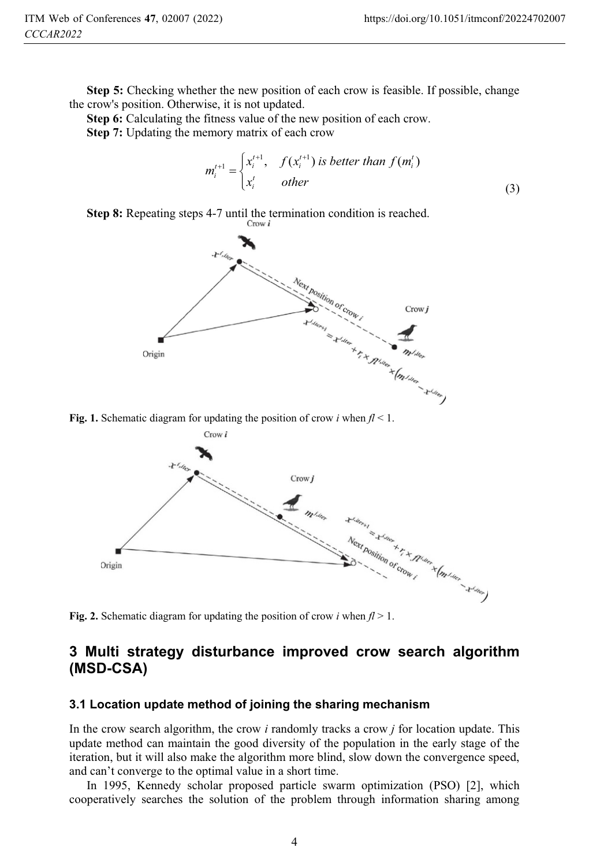**Step 5:** Checking whether the new position of each crow is feasible. If possible, change the crow's position. Otherwise, it is not updated.

**Step 6:** Calculating the fitness value of the new position of each crow.

**Step 7:** Updating the memory matrix of each crow

$$
m_i^{t+1} = \begin{cases} x_i^{t+1}, & f(x_i^{t+1}) \text{ is better than } f(m_i^t) \\ x_i^t & \text{other} \end{cases}
$$
 (3)







### **3 Multi strategy disturbance improved crow search algorithm (MSD-CSA)**

#### **3.1 Location update method of joining the sharing mechanism**

In the crow search algorithm, the crow *i* randomly tracks a crow *j* for location update. This update method can maintain the good diversity of the population in the early stage of the iteration, but it will also make the algorithm more blind, slow down the convergence speed, and can't converge to the optimal value in a short time.

In 1995, Kennedy scholar proposed particle swarm optimization (PSO) [2], which cooperatively searches the solution of the problem through information sharing among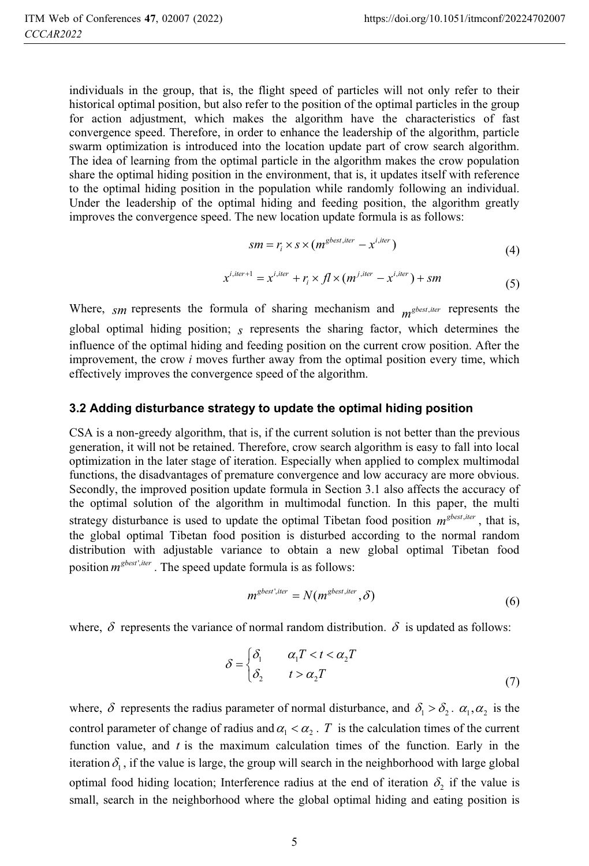individuals in the group, that is, the flight speed of particles will not only refer to their historical optimal position, but also refer to the position of the optimal particles in the group for action adjustment, which makes the algorithm have the characteristics of fast convergence speed. Therefore, in order to enhance the leadership of the algorithm, particle swarm optimization is introduced into the location update part of crow search algorithm. The idea of learning from the optimal particle in the algorithm makes the crow population share the optimal hiding position in the environment, that is, it updates itself with reference to the optimal hiding position in the population while randomly following an individual. Under the leadership of the optimal hiding and feeding position, the algorithm greatly improves the convergence speed. The new location update formula is as follows:

$$
sm = r_i \times s \times (m^{gbest, iter} - x^{i, iter})
$$
\n<sup>(4)</sup>

$$
x^{i,iter+1} = x^{i,iter} + r_i \times fl \times (m^{j,iter} - x^{i,iter}) + sm
$$
\n<sup>(5)</sup>

Where,  $_{\text{S}m}$  represents the formula of sharing mechanism and  $_{\text{m}}$ <sup>gbest, iter</sup> represents the global optimal hiding position; *s* represents the sharing factor, which determines the influence of the optimal hiding and feeding position on the current crow position. After the improvement, the crow *i* moves further away from the optimal position every time, which effectively improves the convergence speed of the algorithm.

#### **3.2 Adding disturbance strategy to update the optimal hiding position**

CSA is a non-greedy algorithm, that is, if the current solution is not better than the previous generation, it will not be retained. Therefore, crow search algorithm is easy to fall into local optimization in the later stage of iteration. Especially when applied to complex multimodal functions, the disadvantages of premature convergence and low accuracy are more obvious. Secondly, the improved position update formula in Section 3.1 also affects the accuracy of the optimal solution of the algorithm in multimodal function. In this paper, the multi strategy disturbance is used to update the optimal Tibetan food position  $m^{gbest, iter}$ , that is, the global optimal Tibetan food position is disturbed according to the normal random distribution with adjustable variance to obtain a new global optimal Tibetan food position  $m^{gbest', iter}$ . The speed update formula is as follows:

$$
m^{\text{gbest',iter}} = N(m^{\text{gbest,iter}}, \delta) \tag{6}
$$

where,  $\delta$  represents the variance of normal random distribution.  $\delta$  is updated as follows:

$$
\delta = \begin{cases} \delta_1 & \alpha_1 T < t < \alpha_2 T \\ \delta_2 & \text{if } t > \alpha_2 T \end{cases} \tag{7}
$$

where,  $\delta$  represents the radius parameter of normal disturbance, and  $\delta_1 > \delta_2$ .  $\alpha_1, \alpha_2$  is the control parameter of change of radius and  $\alpha_1 < \alpha_2$ . *T* is the calculation times of the current function value, and *t* is the maximum calculation times of the function. Early in the iteration  $\delta_1$ , if the value is large, the group will search in the neighborhood with large global optimal food hiding location; Interference radius at the end of iteration  $\delta_2$  if the value is small, search in the neighborhood where the global optimal hiding and eating position is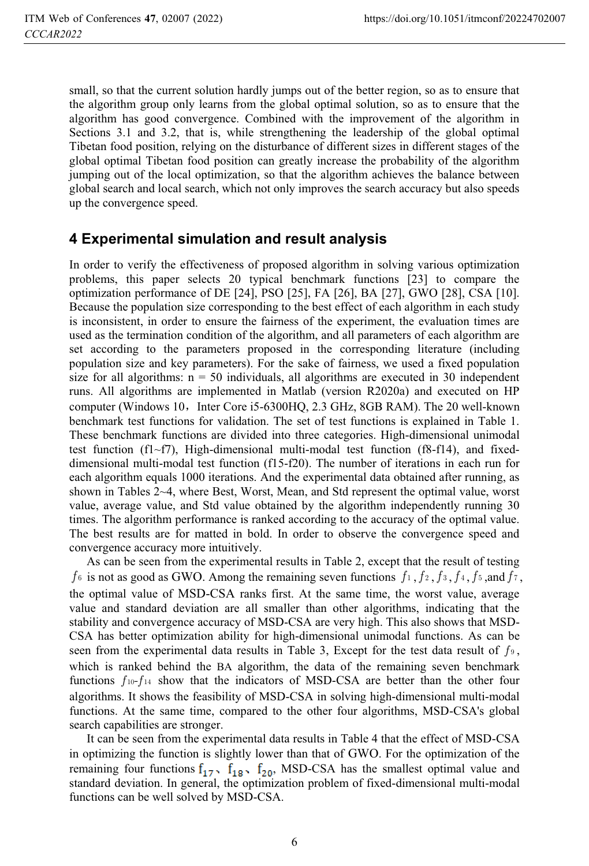small, so that the current solution hardly jumps out of the better region, so as to ensure that the algorithm group only learns from the global optimal solution, so as to ensure that the algorithm has good convergence. Combined with the improvement of the algorithm in Sections 3.1 and 3.2, that is, while strengthening the leadership of the global optimal Tibetan food position, relying on the disturbance of different sizes in different stages of the global optimal Tibetan food position can greatly increase the probability of the algorithm jumping out of the local optimization, so that the algorithm achieves the balance between global search and local search, which not only improves the search accuracy but also speeds up the convergence speed.

### **4 Experimental simulation and result analysis**

In order to verify the effectiveness of proposed algorithm in solving various optimization problems, this paper selects 20 typical benchmark functions [23] to compare the optimization performance of DE [24], PSO [25], FA [26], BA [27], GWO [28], CSA [10]. Because the population size corresponding to the best effect of each algorithm in each study is inconsistent, in order to ensure the fairness of the experiment, the evaluation times are used as the termination condition of the algorithm, and all parameters of each algorithm are set according to the parameters proposed in the corresponding literature (including population size and key parameters). For the sake of fairness, we used a fixed population size for all algorithms:  $n = 50$  individuals, all algorithms are executed in 30 independent runs. All algorithms are implemented in Matlab (version R2020a) and executed on HP computer (Windows 10, Inter Core i5-6300HQ, 2.3 GHz, 8GB RAM). The 20 well-known benchmark test functions for validation. The set of test functions is explained in Table 1. These benchmark functions are divided into three categories. High-dimensional unimodal test function (f1~f7), High-dimensional multi-modal test function (f8-f14), and fixeddimensional multi-modal test function (f15-f20). The number of iterations in each run for each algorithm equals 1000 iterations. And the experimental data obtained after running, as shown in Tables 2~4, where Best, Worst, Mean, and Std represent the optimal value, worst value, average value, and Std value obtained by the algorithm independently running 30 times. The algorithm performance is ranked according to the accuracy of the optimal value. The best results are for matted in bold. In order to observe the convergence speed and convergence accuracy more intuitively.

As can be seen from the experimental results in Table 2, except that the result of testing *f* 6 is not as good as GWO. Among the remaining seven functions  $f_1$ ,  $f_2$ ,  $f_3$ ,  $f_4$ ,  $f_5$ , and  $f_7$ , the optimal value of MSD-CSA ranks first. At the same time, the worst value, average value and standard deviation are all smaller than other algorithms, indicating that the stability and convergence accuracy of MSD-CSA are very high. This also shows that MSD-CSA has better optimization ability for high-dimensional unimodal functions. As can be seen from the experimental data results in Table 3, Except for the test data result of  $f_{9}$ , which is ranked behind the BA algorithm, the data of the remaining seven benchmark functions  $f_{10}$ - $f_{14}$  show that the indicators of MSD-CSA are better than the other four algorithms. It shows the feasibility of MSD-CSA in solving high-dimensional multi-modal functions. At the same time, compared to the other four algorithms, MSD-CSA's global search capabilities are stronger.

It can be seen from the experimental data results in Table 4 that the effect of MSD-CSA in optimizing the function is slightly lower than that of GWO. For the optimization of the remaining four functions  $f_{17}$ ,  $f_{18}$ ,  $f_{20}$ , MSD-CSA has the smallest optimal value and standard deviation. In general, the optimization problem of fixed-dimensional multi-modal functions can be well solved by MSD-CSA.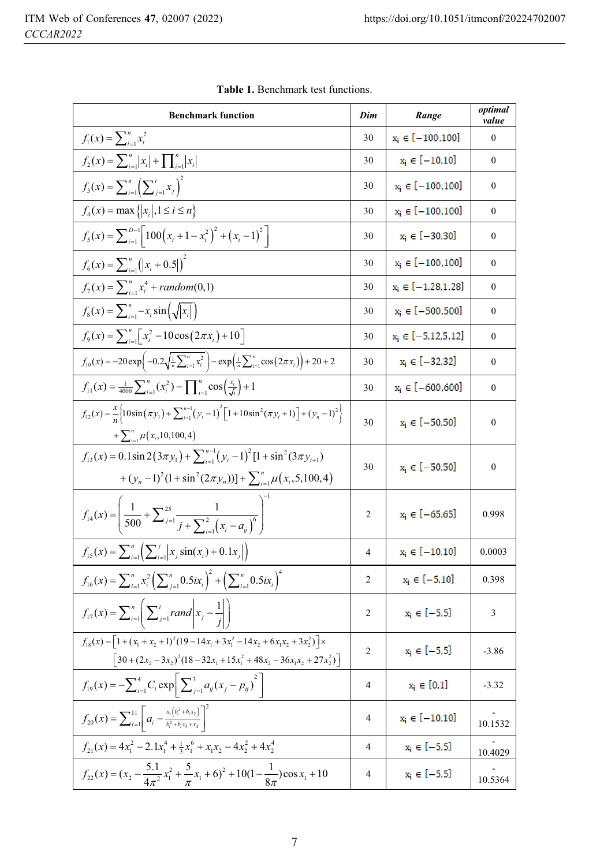| <b>Benchmark function</b>                                                                                                                                                                  | Dim            | Range                   | optimal<br>value |
|--------------------------------------------------------------------------------------------------------------------------------------------------------------------------------------------|----------------|-------------------------|------------------|
| $f_1(x) = \sum_{i=1}^n x_i^2$                                                                                                                                                              | 30             | $x_i \in [-100, 100]$   | $\boldsymbol{0}$ |
| $f_2(x) = \sum_{i=1}^n  x_i  + \prod_{i=1}^n  x_i $                                                                                                                                        | 30             | $x_i \in [-10, 10]$     | $\boldsymbol{0}$ |
| $f_3(x) = \sum_{i=1}^n \left(\sum_{i=1}^i x_i\right)^2$                                                                                                                                    | 30             | $x_i \in [-100, 100]$   | $\mathbf{0}$     |
| $f_4(x) = \max\{ x_i , 1 \le i \le n\}$                                                                                                                                                    | 30             | $x_i \in [-100, 100]$   | $\mathbf{0}$     |
| $f_5(x) = \sum_{i=1}^{D-1}  100(x_i + 1 - x_i^2) ^2 + (x_i - 1)^2 $                                                                                                                        | 30             | $x_i \in [-30, 30]$     | $\mathbf{0}$     |
| $f_6(x) = \sum_{i=1}^n (x_i + 0.5)^2$                                                                                                                                                      | 30             | $x_i \in [-100, 100]$   | $\mathbf{0}$     |
| $f_7(x) = \sum_{i=1}^{n} x_i^4 + random(0,1)$                                                                                                                                              | 30             | $x_i \in [-1.28, 1.28]$ | $\boldsymbol{0}$ |
| $f_8(x) = \sum_{i=1}^{n} -x_i \sin(\sqrt{ x_i })$                                                                                                                                          | 30             | $x_i \in [-500, 500]$   | $\boldsymbol{0}$ |
| $f_9(x) = \sum_{i=1}^{n} \left[ x_i^2 - 10 \cos(2\pi x_i) + 10 \right]$                                                                                                                    | 30             | $x_i \in [-5.12, 5.12]$ | $\boldsymbol{0}$ |
| $f_{10}(x) = -20 \exp \left(-0.2 \sqrt{\frac{1}{n} \sum_{i=1}^{n} x_i^2}\right) - \exp \left(\frac{1}{n} \sum_{i=1}^{n} \cos(2\pi x_i)\right) + 20 + 2$                                    | 30             | $x_i \in [-32, 32]$     | $\boldsymbol{0}$ |
| $f_{11}(x) = \frac{1}{4000} \sum_{i=1}^{n} (x_i^2) - \prod_{i=1}^{n} \cos\left(\frac{x_i}{\sqrt{i}}\right) + 1$                                                                            | 30             | $x_i \in [-600, 600]$   | $\boldsymbol{0}$ |
| $f_{12}(x) = \frac{x}{n} \left[ 10\sin(\pi y_1) + \sum_{i=1}^{n-1} (y_i - 1)^2 \left[ 1 + 10\sin^2(\pi y_i + 1) \right] + (y_n - 1)^2 \right]$<br>$+\sum_{i=1}^n \mu(x_i, 10, 100, 4)$     | 30             | $x_i \in [-50, 50]$     | $\boldsymbol{0}$ |
| $f_{13}(x) = 0.1\sin 2(3\pi y_1) + \sum_{i=1}^{n-1} (y_i - 1)^2 [1 + \sin^2(3\pi y_{i+1})]$<br>+ $(y_n - 1)^2 (1 + \sin^2(2\pi y_n))]$ + $\sum_{i=1}^n \mu(x_i, 5, 100, 4)$                | 30             | $x_i \in [-50, 50]$     | $\boldsymbol{0}$ |
| $f_{14}(x) = \left(\frac{1}{500} + \sum_{j=1}^{25} \frac{1}{j + \sum_{i=1}^{2} (x_i - a_i)^6}\right)$                                                                                      | 2              | $x_i \in [-65, 65]$     | 0.998            |
| $f_{15}(x) = \sum_{i=1}^{n} \left( \sum_{i=1}^{j}  x_{i} \sin(x_{i}) + 0.1x_{i}   \right)$                                                                                                 | $\overline{4}$ | $x_i \in [-10, 10]$     | 0.0003           |
| $f_{16}(x) = \sum_{i=1}^{n} x_i^2 \left(\sum_{j=1}^{n} 0.5ix_i\right)^2 + \left(\sum_{i=1}^{n} 0.5ix_i\right)^4$                                                                           | 2              | $x_i \in [-5, 10]$      | 0.398            |
| $f_{17}(x) = \sum_{i=1}^{n} \left[ \sum_{j=1}^{i} rand \middle  x_j - \frac{1}{i} \right]$                                                                                                 | 2              | $x_i \in [-5,5]$        | 3                |
| $f_{18}(x) = \left[1 + (x_1 + x_2 + 1)^2(19 - 14x_1 + 3x_1^2 - 14x_2 + 6x_1x_2 + 3x_2^2)\right]$<br>$\left[30 + (2x_2 - 3x_2)^2(18 - 32x_1 + 15x_1^2 + 48x_2 - 36x_1x_2 + 27x_2^2)\right]$ | $\overline{c}$ | $x_i \in [-5,5]$        | $-3.86$          |
| $f_{19}(x) = -\sum_{i=1}^{4} C_i \exp \left[ \sum_{j=1}^{3} a_{ij} (x_j - p_{ij})^2 \right]$                                                                                               | 4              | $x_i \in [0,1]$         | $-3.32$          |
| $f_{20}(x) = \sum_{i=1}^{11} \left[ a_i - \frac{x_1(b_i^2 + b_i x_2)}{b_i^2 + b_i x_3 + x_4} \right]^2$                                                                                    | 4              | $x_i \in [-10, 10]$     | 10.1532          |
| $f_{21}(x) = 4x_1^2 - 2 \cdot 1x_1^4 + \frac{1}{3}x_1^6 + x_1x_2 - 4x_2^2 + 4x_2^4$                                                                                                        | 4              | $x_i \in [-5, 5]$       | 10.4029          |
| $f_{22}(x) = (x_2 - \frac{5.1}{4\pi^2}x_1^2 + \frac{5}{\pi}x_1 + 6)^2 + 10(1 - \frac{1}{8\pi})\cos x_1 + 10$                                                                               | 4              | $x_i \in [-5, 5]$       | 10.5364          |

**Table 1.** Benchmark test functions.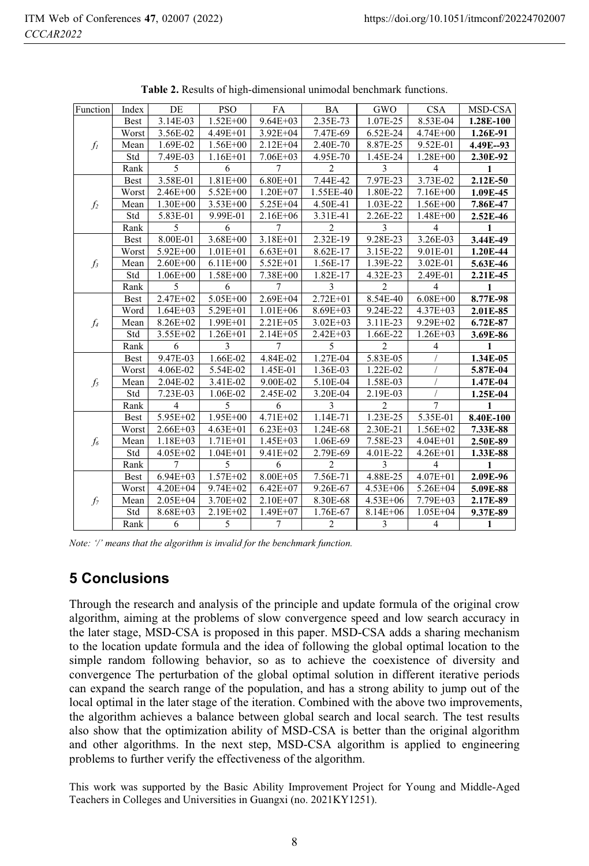| Function       | Index       | DE             | <b>PSO</b>   | FA              | <b>BA</b>      | GWO            | <b>CSA</b>     | MSD-CSA    |
|----------------|-------------|----------------|--------------|-----------------|----------------|----------------|----------------|------------|
| $f_I$          | <b>Best</b> | 3.14E-03       | $1.52E + 00$ | $9.64E + 03$    | 2.35E-73       | 1.07E-25       | 8.53E-04       | 1.28E-100  |
|                | Worst       | 3.56E-02       | $4.49E + 01$ | $3.92E + 04$    | 7.47E-69       | 6.52E-24       | $4.74E + 00$   | 1.26E-91   |
|                | Mean        | 1.69E-02       | $1.56E + 00$ | $2.12E + 04$    | 2.40E-70       | 8.87E-25       | 9.52E-01       | 4.49E--93  |
|                | Std         | 7.49E-03       | $1.16E + 01$ | $7.06E + 03$    | 4.95E-70       | 1.45E-24       | 1.28E+00       | 2.30E-92   |
|                | Rank        | 5              | 6            | $\overline{7}$  | $\overline{c}$ | 3              | $\overline{4}$ | 1          |
|                | <b>Best</b> | 3.58E-01       | $1.81E + 00$ | $6.80E + 01$    | 7.44E-42       | 7.97E-23       | 3.73E-02       | 2.12E-50   |
|                | Worst       | 2.46E+00       | 5.52E+00     | $1.20E + 07$    | 1.55EE-40      | 1.80E-22       | 7.16E+00       | 1.09E-45   |
| $f_2$          | Mean        | $1.30E + 00$   | $3.53E + 00$ | $5.25E + 04$    | 4.50E-41       | 1.03E-22       | $1.56E + 00$   | 7.86E-47   |
|                | Std         | 5.83E-01       | 9.99E-01     | 2.16E+06        | 3.31E-41       | 2.26E-22       | $1.48E + 00$   | $2.52E-46$ |
|                | Rank        | 5              | 6            | 7               | $\overline{c}$ | 3              | 4              | 1          |
|                | <b>Best</b> | 8.00E-01       | $3.68E + 00$ | 3.18E+01        | 2.32E-19       | 9.28E-23       | 3.26E-03       | 3.44E-49   |
|                | Worst       | 5.92E+00       | $1.01E + 01$ | $6.63E + 01$    | 8.62E-17       | 3.15E-22       | 9.01E-01       | 1.20E-44   |
| $f_3$          | Mean        | $2.60E + 00$   | $6.11E + 00$ | $5.52E + 01$    | 1.56E-17       | 1.39E-22       | 3.02E-01       | 5.63E-46   |
|                | Std         | $1.06E + 00$   | $1.58E + 00$ | $7.38E + 00$    | 1.82E-17       | 4.32E-23       | 2.49E-01       | 2.21E-45   |
|                | Rank        | 5              | 6            | 7               | 3              | $\overline{c}$ | $\overline{4}$ | 1          |
|                | Best        | $2.47E + 02$   | $5.05E + 00$ | $2.69E + 04$    | $2.72E + 01$   | 8.54E-40       | $6.08E + 00$   | 8.77E-98   |
|                | Word        | $1.64E + 03$   | 5.29E+01     | $1.01E + 06$    | $8.69E + 03$   | 9.24E-22       | 4.37E+03       | 2.01E-85   |
| f4             | Mean        | $8.26E + 02$   | $1.99E + 01$ | $2.21E + 0.5$   | $3.02E + 03$   | 3.11E-23       | $9.29E + 02$   | 6.72E-87   |
|                | Std         | $3.55E + 02$   | $1.26E + 01$ | $2.14E + 05$    | $2.42E + 03$   | 1.66E-22       | $1.26E + 03$   | 3.69E-86   |
|                | Rank        | 6              | 3            | 7               | 5              | $\overline{2}$ | 4              | 1          |
|                | <b>Best</b> | 9.47E-03       | 1.66E-02     | 4.84E-02        | 1.27E-04       | 5.83E-05       |                | 1.34E-05   |
|                | Worst       | 4.06E-02       | 5.54E-02     | 1.45E-01        | 1.36E-03       | 1.22E-02       |                | 5.87E-04   |
| $f_5$          | Mean        | 2.04E-02       | 3.41E-02     | 9.00E-02        | 5.10E-04       | 1.58E-03       |                | 1.47E-04   |
|                | Std         | 7.23E-03       | 1.06E-02     | 2.45E-02        | 3.20E-04       | 2.19E-03       |                | 1.25E-04   |
|                | Rank        | $\overline{4}$ | 5            | 6               | 3              | $\overline{c}$ | 7              | 1          |
|                | <b>Best</b> | $5.95E+02$     | $1.95E + 00$ | $4.71E + 02$    | 1.14E-71       | 1.23E-25       | 5.35E-01       | 8.40E-100  |
| f <sub>6</sub> | Worst       | $2.66E + 03$   | $4.63E + 01$ | $6.23E + 03$    | 1.24E-68       | 2.30E-21       | $1.56E + 02$   | 7.33E-88   |
|                | Mean        | $1.18E + 03$   | $1.71E + 01$ | $1.45E + 03$    | 1.06E-69       | 7.58E-23       | $4.04E + 01$   | 2.50E-89   |
|                | Std         | 4.05E+02       | $1.04E + 01$ | 9.41E+02        | 2.79E-69       | 4.01E-22       | $4.26E + 01$   | 1.33E-88   |
|                | Rank        | 7              | 5            | 6               | $\overline{c}$ | 3              | $\overline{4}$ | 1          |
| $f_7$          | <b>Best</b> | $6.94E + 03$   | $1.57E + 02$ | 8.00E+05        | 7.56E-71       | 4.88E-25       | $4.07E + 01$   | 2.09E-96   |
|                | Worst       | $4.20E + 04$   | $9.74E + 02$ | $6.42E + 07$    | 9.26E-67       | $4.53E + 06$   | $5.26E + 04$   | 5.09E-88   |
|                | Mean        | $2.05E + 04$   | 3.70E+02     | 2.10E+07        | 8.30E-68       | $4.53E + 06$   | 7.79E+03       | 2.17E-89   |
|                | Std         | $8.68E + 03$   | 2.19E+02     | $1.49E + 07$    | 1.76E-67       | $8.14E + 06$   | $1.05E + 04$   | 9.37E-89   |
|                | Rank        | 6              | 5            | $7\phantom{.0}$ | $\overline{c}$ | 3              | $\overline{4}$ | 1          |

**Table 2.** Results of high-dimensional unimodal benchmark functions.

*Note: '/' means that the algorithm is invalid for the benchmark function.*

## **5 Conclusions**

Through the research and analysis of the principle and update formula of the original crow algorithm, aiming at the problems of slow convergence speed and low search accuracy in the later stage, MSD-CSA is proposed in this paper. MSD-CSA adds a sharing mechanism to the location update formula and the idea of following the global optimal location to the simple random following behavior, so as to achieve the coexistence of diversity and convergence The perturbation of the global optimal solution in different iterative periods can expand the search range of the population, and has a strong ability to jump out of the local optimal in the later stage of the iteration. Combined with the above two improvements, the algorithm achieves a balance between global search and local search. The test results also show that the optimization ability of MSD-CSA is better than the original algorithm and other algorithms. In the next step, MSD-CSA algorithm is applied to engineering problems to further verify the effectiveness of the algorithm.

This work was supported by the Basic Ability Improvement Project for Young and Middle-Aged Teachers in Colleges and Universities in Guangxi (no. 2021KY1251).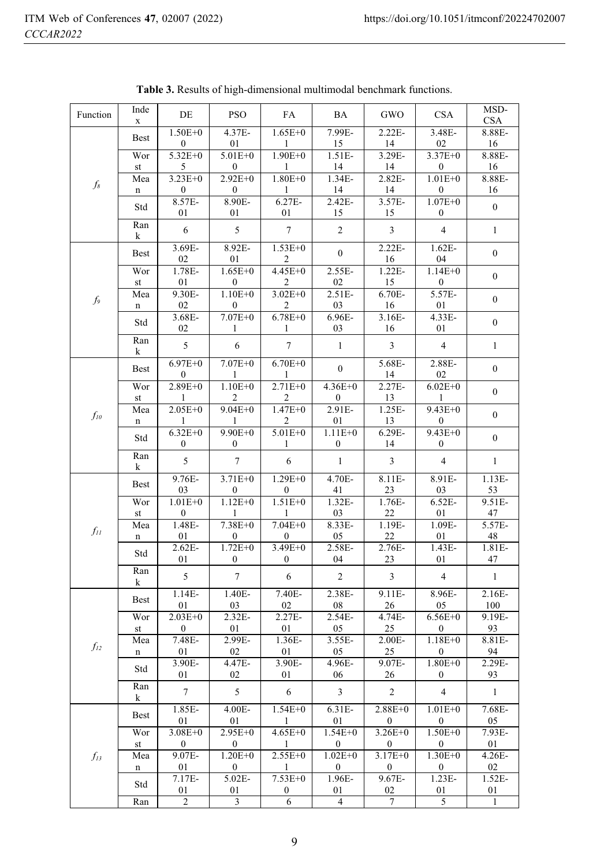| Function    | Inde<br>X          | DE                                   | <b>PSO</b>                      | FA                              | BA                          | GWO                           | <b>CSA</b>                      | MSD-<br><b>CSA</b> |
|-------------|--------------------|--------------------------------------|---------------------------------|---------------------------------|-----------------------------|-------------------------------|---------------------------------|--------------------|
|             | Best               | $1.50E + 0$<br>$\bf{0}$              | 4.37E-<br>01                    | $1.65E + 0$<br>$\mathbf{1}$     | 7.99E-<br>15                | $2.22E -$<br>14               | 3.48E-<br>02                    | 8.88E-<br>16       |
|             | Wor                | $5.32E + 0$                          | $5.01E + 0$                     | $1.90E + 0$                     | 1.51E-                      | 3.29E-                        | $3.37E + 0$                     | 8.88E-             |
|             | st                 | 5                                    | 0                               | $\mathbf{1}$                    | 14                          | 14                            | $\boldsymbol{0}$                | 16                 |
| $f_{8}$     | Mea<br>$\mathbf n$ | $3.23E + 0$<br>$\bf{0}$              | $2.92E+0$<br>$\bf{0}$           | $1.80E + 0$<br>$\mathbf{1}$     | 1.34E-<br>14                | 2.82E-<br>14                  | $1.01E + 0$<br>$\bf{0}$         | 8.88E-<br>16       |
|             | Std                | 8.57E-<br>01                         | 8.90E-<br>01                    | 6.27E-<br>01                    | 2.42E-<br>15                | 3.57E-<br>15                  | $1.07E + 0$<br>$\mathbf{0}$     | $\boldsymbol{0}$   |
|             | Ran<br>k           | 6                                    | 5                               | $\boldsymbol{7}$                | $\overline{c}$              | $\overline{3}$                | $\overline{4}$                  | $\mathbf{1}$       |
|             | Best               | 3.69E-<br>02                         | 8.92E-<br>01                    | $1.53E + 0$<br>2                | $\boldsymbol{0}$            | $2.22E -$<br>16               | $1.62E-$<br>04                  | $\boldsymbol{0}$   |
|             | Wor<br>st          | 1.78E-<br>01                         | $1.65E + 0$<br>$\bf{0}$         | 4.45E+0<br>2                    | 2.55E-<br>02                | 1.22E-<br>15                  | $1.14E + 0$<br>$\overline{0}$   | $\boldsymbol{0}$   |
| $f_{\rm 9}$ | Mea<br>n           | 9.30E-<br>02                         | $1.10E + 0$<br>$\bf{0}$         | $3.02E + 0$<br>$\overline{2}$   | 2.51E-<br>03                | 6.70E-<br>16                  | 5.57E-<br>01                    | $\bf{0}$           |
|             | Std                | 3.68E-<br>02                         | $7.07E + 0$<br>1                | $6.78E + 0$<br>1                | 6.96E-<br>03                | 3.16E-<br>16                  | 4.33E-<br>01                    | $\boldsymbol{0}$   |
|             | Ran<br>k           | 5                                    | $\sqrt{6}$                      | $\boldsymbol{7}$                | $\mathbf{1}$                | $\mathfrak{Z}$                | $\overline{4}$                  | $\mathbf{1}$       |
|             | Best               | $6.97E + 0$<br>0                     | $7.07E + 0$<br>1                | $6.70E + 0$<br>1                | $\boldsymbol{0}$            | 5.68E-<br>14                  | 2.88E-<br>02                    | $\boldsymbol{0}$   |
|             | Wor<br>st          | $2.89E + 0$<br>$\mathbf{1}$          | $1.10E + 0$<br>2                | $2.71E + 0$<br>2                | $4.36E + 0$<br>$\mathbf{0}$ | 2.27E-<br>13                  | $6.02E + 0$<br>$\mathbf{1}$     | $\boldsymbol{0}$   |
| $f_{10}$    | Mea<br>$\mathbf n$ | $2.05E + 0$<br>$\mathbf{1}$          | $9.04E + 0$<br>$\mathbf{1}$     | $1.47E + 0$<br>$\overline{c}$   | 2.91E-<br>01                | 1.25E-<br>13                  | $9.43E + 0$<br>$\overline{0}$   | $\boldsymbol{0}$   |
|             | Std                | $6.\overline{32E+0}$<br>$\mathbf{0}$ | $9.90E + 0$<br>$\bf{0}$         | $5.01E + 0$<br>1                | $1.11E + 0$<br>$\bf{0}$     | 6.29E-<br>14                  | $9.43E + 0$<br>$\boldsymbol{0}$ | $\boldsymbol{0}$   |
|             | Ran<br>k           | 5                                    | $\boldsymbol{7}$                | $\sqrt{6}$                      | $\mathbf{1}$                | $\mathfrak{Z}$                | $\overline{4}$                  | $\,1\,$            |
|             | Best               | 9.76E-<br>03                         | $3.71E + 0$<br>$\boldsymbol{0}$ | $1.29E + 0$<br>$\boldsymbol{0}$ | 4.70E-<br>41                | 8.11E-<br>23                  | 8.91E-<br>03                    | $1.13E-$<br>53     |
|             | Wor<br>st          | $1.01E + 0$<br>$\boldsymbol{0}$      | $1.12E + 0$<br>$\mathbf{1}$     | $1.51E + 0$<br>$\mathbf{1}$     | 1.32E-<br>03                | 1.76E-<br>22                  | 6.52E-<br>01                    | 9.51E-<br>47       |
| $f_{II}$    | Mea<br>n           | 1.48E-<br>01                         | 7.38E+0<br>$\bf{0}$             | $7.04E + 0$<br>$\mathbf{0}$     | $8.33E -$<br>05             | 1.19E-<br>22                  | 1.09E-<br>01                    | 5.57E-<br>48       |
|             | Std                | 2.62E-<br>01                         | $1.72E + 0$<br>$\bf{0}$         | 3.49E+0<br>$\mathbf{0}$         | 2.58E-<br>04                | 2.76E-<br>23                  | 1.43E-<br>01                    | 1.81E-<br>47       |
|             | Ran<br>k           | $\sqrt{5}$                           | $\boldsymbol{7}$                | 6                               | $\sqrt{2}$                  | $\mathfrak z$                 | $\overline{4}$                  | $\mathbf{1}$       |
|             | Best               | $1.14E-$<br>01                       | $1.40E-$<br>03                  | 7.40E-<br>02                    | 2.38E-<br>08                | $9.11E -$<br>26               | 8.96E-<br>05                    | 2.16E-<br>100      |
|             | Wor                | $2.03E + 0$                          | 2.32E-                          | 2.27E-                          | 2.54E-                      | 4.74E-                        | $6.56E + 0$                     | 9.19E-             |
|             | st<br>Mea          | $\boldsymbol{0}$<br>7.48E-           | 01<br>2.99E-                    | $01\,$<br>1.36E-                | 05<br>3.55E-                | 25<br>2.00E-                  | $\boldsymbol{0}$<br>$1.18E + 0$ | 93<br>8.81E-       |
| $f_{12}$    | n                  | 01                                   | 02                              | 01                              | 05                          | 25                            | 0                               | 94                 |
|             | Std                | 3.90E-                               | 4.47E-                          | 3.90E-                          | 4.96E-                      | 9.07E-                        | $1.80E + 0$                     | 2.29E-             |
|             | Ran                | 01                                   | 02                              | 01                              | 06                          | 26                            | $\bf{0}$                        | 93                 |
|             | k                  | $\tau$                               | $\mathfrak{S}$                  | 6                               | $\mathfrak{Z}$              | $\overline{2}$                | $\overline{4}$                  | $\mathbf{1}$       |
| $f_{13}$    | Best               | 1.85E-<br>01                         | 4.00E-<br>01                    | $1.54E + 0$<br>1                | 6.31E-<br>01                | $2.88E + 0$<br>$\mathbf{0}$   | $1.01E + 0$<br>0                | 7.68E-<br>05       |
|             | Wor<br>st          | $3.08E + 0$<br>$\mathbf{0}$          | 2.95E+0<br>$\mathbf{0}$         | $4.65E + 0$<br>$\mathbf{1}$     | $1.54E + 0$<br>$\mathbf{0}$ | $3.26E + 0$<br>$\overline{0}$ | $1.50E + 0$<br>$\mathbf{0}$     | 7.93E-<br>01       |
|             | Mea                | 9.07E-                               | $1.20E + 0$                     | $2.55E + 0$                     | $1.02E + 0$                 | $3.17E + 0$                   | $1.30E + 0$                     | 4.26E-             |
|             | n                  | 01                                   | $\mathbf{0}$                    | $\mathbf{1}$                    | $\mathbf{0}$                | $\mathbf{0}$                  | $\mathbf{0}$                    | 02                 |
|             | Std                | 7.17E-<br>01                         | 5.02E-<br>01                    | $7.53E + 0$<br>$\boldsymbol{0}$ | 1.96E-<br>01                | 9.67E-<br>02                  | $1.23E-$<br>01                  | 1.52E-<br>01       |
|             | Ran                | 2                                    | 3                               | 6                               | $\overline{4}$              | 7                             | 5                               | $\mathbf{1}$       |

Table 3. Results of high-dimensional multimodal benchmark functions.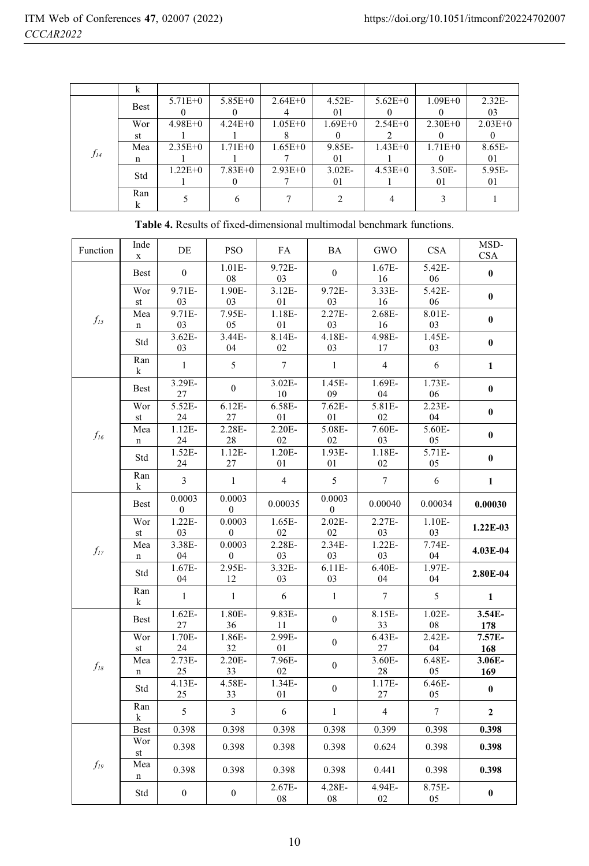|          | k           |             |             |             |             |             |             |             |
|----------|-------------|-------------|-------------|-------------|-------------|-------------|-------------|-------------|
| $f_{14}$ | <b>Best</b> | $5.71E+0$   | $5.85E + 0$ | $2.64E + 0$ | $4.52E-$    | $5.62E + 0$ | $1.09E + 0$ | $2.32E-$    |
|          |             |             |             |             | 01          |             |             | 03          |
|          | Wor         | $4.98E + 0$ | $4.24E + 0$ | $1.05E + 0$ | $1.69E + 0$ | $2.54E + 0$ | $2.30E + 0$ | $2.03E + 0$ |
|          | st          |             |             |             |             |             |             |             |
|          | Mea         | $2.35E+0$   | $1.71E + 0$ | $1.65E + 0$ | 9.85E-      | $1.43E + 0$ | $1.71E + 0$ | 8.65E-      |
|          | n           |             |             |             | 01          |             |             | 01          |
|          | Std         | $1.22E + 0$ | $7.83E + 0$ | $2.93E+0$   | $3.02E -$   | $4.53E+0$   | $3.50E -$   | 5.95E-      |
|          |             |             |             |             | 01          |             | 01          | 01          |
|          | Ran         |             |             |             |             |             |             |             |
|          |             |             |             |             |             |             |             |             |

 $\overline{MSD}$ Inde Function  $DE$ **PSO** FA **BA** GWO **CSA CSA**  $\mathbf{x}$  $1.01E 9.72E 1.67E-$ 5.42E-**Best**  $\theta$  $\theta$  $\mathbf{0}$ 08 03 16 06  $1.90E 3.12E 9.72E -$ Wor  $9.71E -$ 3.33E-5.42E- $\bf{0}$ 03 st  $0<sup>3</sup>$  $01$  $0<sup>3</sup>$ 16 06  $9.71E 7.95E 1.18E 2.27E 2.68E 8.01E -$ Mea  $f_{15}$  $\bf{0}$ 03 05 01 03 16 03  $\mathbf n$  $3.62E 3.44E 8.14E 4.18E 4.98E 1.45E-$ Std  $\bf{0}$ 03 04 02 03 17 03 Ran  $\mathbf{1}$ 5  $\overline{7}$  $\mathbf 1$  $\overline{4}$ 6  $\mathbf{1}$ k  $3.02E -$ 3.29E-1.45E-1.69E- $1.73E \overline{0}$ **Best**  $\mathbf{0}$ 27 10  $09$ 04 06 Wor  $5.52E-$ 6.58E- $2.23E 6.12E 7.62E-$ 5.81E- $\bf{0}$ 24 27  $01$ 01 02 04 st  $1.12E-$ 2.28E- $2.20E -$ 5.08E-Mea 7.60E-5.60E $f_{16}$  $\pmb{0}$ 24 28 02 02 03 05  $\mathbf n$  $1.52E 1.12E 1.20E 1.93E 1.18E 5.71E-$ Std  $\bf{0}$ 24 27 01  $01\,$ 02 05 Ran  $\overline{3}$  $\mathbf{1}$  $\overline{4}$ 5  $\overline{7}$ 6  $\mathbf{1}$ k 0.0003 0.0003 0.0003 0.00035 0.00034 0.00040 **Best** 0.00030  $\Omega$  $\Omega$  $\Omega$  $1.22E -$ Wor  $0.0003$  $1.65E 2.02E 2.27E 1.10E -$ 1.22E-03 st 03  $\boldsymbol{0}$ 02 02 03 03 2.28E-3.38E- $0.0003$  $2.34E 1.22E 7.74E-$ Mea 4.03E-04  $f_{17}$  $\mathbf n$ 04  $\bf{0}$ 03 03 03 04 2.95E- $1.67E-$ 3.32E- $6.11E 6.40E -$ 1.97E-Std 2.80E-04 04 12 03 03 04 04 Ran  $\mathbf{1}$  $\overline{5}$  $\mathbf{1}$ 6  $\overline{7}$  $\mathbf{1}$  $\mathbf{1}$ k  $1.62E 1.80E 9.83E 1.02E 8.15E -$ 3.54E-**Best**  $\theta$ 27 36 11 33 08 178 1.70E-1.86E-2.99E-Wor 6.43E-2.42E-7.57E- $\boldsymbol{0}$  $\mathop{\mathsf{st}}$ 24 32 01 27 04 168  $2.20E -$ 7.96E- $2.73E 3.60E 6.48E -$ 3.06E-Mea  $\boldsymbol{0}$  $f_{18}$ 25 33 02 28 05 169  $\mathbf n$  $4.13E-$ 4.58E- $1.34E 1.17E 6.46E \boldsymbol{0}$ Std  $\bf{0}$ 01 05 25 33 27 Ran 5  $\overline{3}$ 6  $\overline{4}$  $\overline{7}$  $\mathbf{1}$  $\mathbf{2}$ k 0.398 0.398 0.398 0.398 0.399 0.398 Best 0.398 Wor 0.398 0.398 0.398 0.398 0.624 0.398 0.398 st  $f_{19}$ Mea 0.398 0.398 0.398 0.398 0.441 0.398 0.398  $\mathbf n$  $2.67E 4.28E 4.94E 8.75E \boldsymbol{0}$ Std  $\boldsymbol{0}$  $\bf{0}$ 08 08 02 05

Table 4. Results of fixed-dimensional multimodal benchmark functions.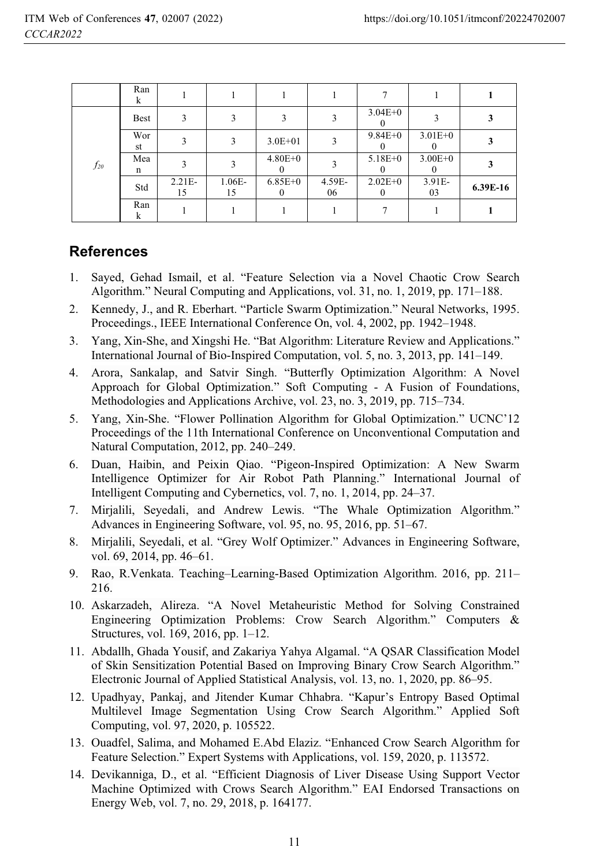|          | Ran<br>k    |                |              |                             |              |                         |              |          |
|----------|-------------|----------------|--------------|-----------------------------|--------------|-------------------------|--------------|----------|
| $f_{20}$ | <b>Best</b> | 3              |              |                             |              | $3.04E + 0$             |              |          |
|          | Wor<br>st   | 3              | $\mathbf{3}$ | $3.0E + 01$                 | 3            | $9.84E + 0$             | $3.01E + 0$  |          |
|          | Mea<br>n    |                |              | $4.80E + 0$                 |              | $5.18E + 0$             | $3.00E + 0$  |          |
|          | Std         | $2.21E-$<br>15 | 1.06E-<br>15 | $6.85E + 0$<br>$\mathbf{0}$ | 4.59E-<br>06 | $2.02E + 0$<br>$\theta$ | 3.91E-<br>03 | 6.39E-16 |
|          | Ran<br>k    |                |              |                             |              |                         |              |          |

### **References**

- 1. Sayed, Gehad Ismail, et al. "Feature Selection via a Novel Chaotic Crow Search Algorithm." Neural Computing and Applications, vol. 31, no. 1, 2019, pp. 171–188.
- 2. Kennedy, J., and R. Eberhart. "Particle Swarm Optimization." Neural Networks, 1995. Proceedings., IEEE International Conference On, vol. 4, 2002, pp. 1942–1948.
- 3. Yang, Xin-She, and Xingshi He. "Bat Algorithm: Literature Review and Applications." International Journal of Bio-Inspired Computation, vol. 5, no. 3, 2013, pp. 141–149.
- 4. Arora, Sankalap, and Satvir Singh. "Butterfly Optimization Algorithm: A Novel Approach for Global Optimization." Soft Computing - A Fusion of Foundations, Methodologies and Applications Archive, vol. 23, no. 3, 2019, pp. 715–734.
- 5. Yang, Xin-She. "Flower Pollination Algorithm for Global Optimization." UCNC'12 Proceedings of the 11th International Conference on Unconventional Computation and Natural Computation, 2012, pp. 240–249.
- 6. Duan, Haibin, and Peixin Qiao. "Pigeon-Inspired Optimization: A New Swarm Intelligence Optimizer for Air Robot Path Planning." International Journal of Intelligent Computing and Cybernetics, vol. 7, no. 1, 2014, pp. 24–37.
- 7. Mirjalili, Seyedali, and Andrew Lewis. "The Whale Optimization Algorithm." Advances in Engineering Software, vol. 95, no. 95, 2016, pp. 51–67.
- 8. Mirjalili, Seyedali, et al. "Grey Wolf Optimizer." Advances in Engineering Software, vol. 69, 2014, pp. 46–61.
- 9. Rao, R.Venkata. Teaching–Learning-Based Optimization Algorithm. 2016, pp. 211– 216.
- 10. Askarzadeh, Alireza. "A Novel Metaheuristic Method for Solving Constrained Engineering Optimization Problems: Crow Search Algorithm." Computers & Structures, vol. 169, 2016, pp. 1–12.
- 11. Abdallh, Ghada Yousif, and Zakariya Yahya Algamal. "A QSAR Classification Model of Skin Sensitization Potential Based on Improving Binary Crow Search Algorithm." Electronic Journal of Applied Statistical Analysis, vol. 13, no. 1, 2020, pp. 86–95.
- 12. Upadhyay, Pankaj, and Jitender Kumar Chhabra. "Kapur's Entropy Based Optimal Multilevel Image Segmentation Using Crow Search Algorithm." Applied Soft Computing, vol. 97, 2020, p. 105522.
- 13. Ouadfel, Salima, and Mohamed E.Abd Elaziz. "Enhanced Crow Search Algorithm for Feature Selection." Expert Systems with Applications, vol. 159, 2020, p. 113572.
- 14. Devikanniga, D., et al. "Efficient Diagnosis of Liver Disease Using Support Vector Machine Optimized with Crows Search Algorithm." EAI Endorsed Transactions on Energy Web, vol. 7, no. 29, 2018, p. 164177.